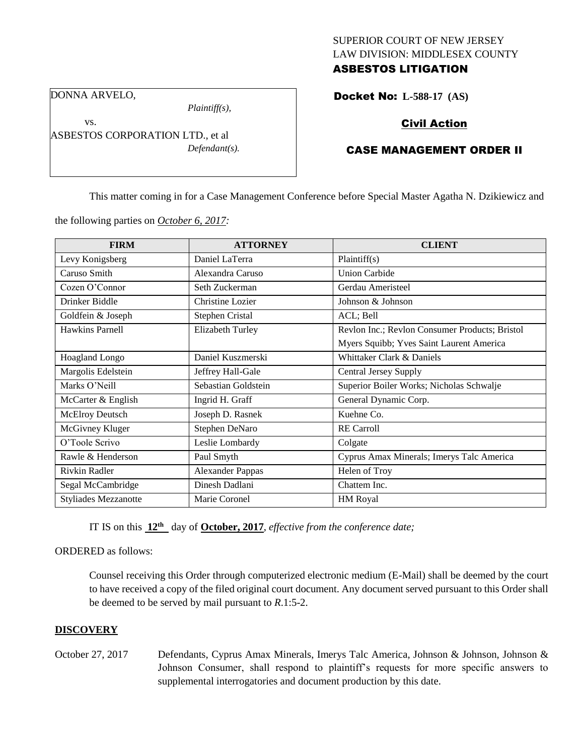## SUPERIOR COURT OF NEW JERSEY LAW DIVISION: MIDDLESEX COUNTY ASBESTOS LITIGATION

DONNA ARVELO,

vs.

*Plaintiff(s),*

ASBESTOS CORPORATION LTD., et al *Defendant(s).*

# Docket No: **L-588-17 (AS)**

# Civil Action

# CASE MANAGEMENT ORDER II

This matter coming in for a Case Management Conference before Special Master Agatha N. Dzikiewicz and

the following parties on *October 6, 2017:*

| <b>FIRM</b>                 | <b>ATTORNEY</b>         | <b>CLIENT</b>                                  |
|-----------------------------|-------------------------|------------------------------------------------|
| Levy Konigsberg             | Daniel LaTerra          | Plaintiff(s)                                   |
| Caruso Smith                | Alexandra Caruso        | <b>Union Carbide</b>                           |
| Cozen O'Connor              | Seth Zuckerman          | Gerdau Ameristeel                              |
| Drinker Biddle              | Christine Lozier        | Johnson & Johnson                              |
| Goldfein & Joseph           | Stephen Cristal         | ACL; Bell                                      |
| Hawkins Parnell             | <b>Elizabeth Turley</b> | Revlon Inc.; Revlon Consumer Products; Bristol |
|                             |                         | Myers Squibb; Yves Saint Laurent America       |
| Hoagland Longo              | Daniel Kuszmerski       | Whittaker Clark & Daniels                      |
| Margolis Edelstein          | Jeffrey Hall-Gale       | <b>Central Jersey Supply</b>                   |
| Marks O'Neill               | Sebastian Goldstein     | Superior Boiler Works; Nicholas Schwalje       |
| McCarter & English          | Ingrid H. Graff         | General Dynamic Corp.                          |
| McElroy Deutsch             | Joseph D. Rasnek        | Kuehne Co.                                     |
| McGivney Kluger             | Stephen DeNaro          | <b>RE</b> Carroll                              |
| O'Toole Scrivo              | Leslie Lombardy         | Colgate                                        |
| Rawle & Henderson           | Paul Smyth              | Cyprus Amax Minerals; Imerys Talc America      |
| Rivkin Radler               | <b>Alexander Pappas</b> | Helen of Troy                                  |
| Segal McCambridge           | Dinesh Dadlani          | Chattem Inc.                                   |
| <b>Styliades Mezzanotte</b> | Marie Coronel           | <b>HM</b> Royal                                |

IT IS on this **12th** day of **October, 2017**, *effective from the conference date;*

ORDERED as follows:

Counsel receiving this Order through computerized electronic medium (E-Mail) shall be deemed by the court to have received a copy of the filed original court document. Any document served pursuant to this Order shall be deemed to be served by mail pursuant to *R*.1:5-2.

## **DISCOVERY**

October 27, 2017 Defendants, Cyprus Amax Minerals, Imerys Talc America, Johnson & Johnson, Johnson & Johnson Consumer, shall respond to plaintiff's requests for more specific answers to supplemental interrogatories and document production by this date.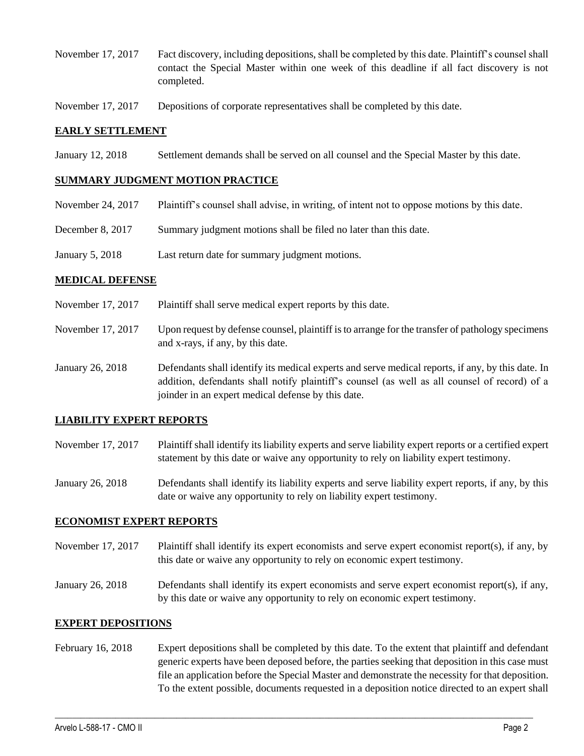- November 17, 2017 Fact discovery, including depositions, shall be completed by this date. Plaintiff's counsel shall contact the Special Master within one week of this deadline if all fact discovery is not completed.
- November 17, 2017 Depositions of corporate representatives shall be completed by this date.

### **EARLY SETTLEMENT**

January 12, 2018 Settlement demands shall be served on all counsel and the Special Master by this date.

### **SUMMARY JUDGMENT MOTION PRACTICE**

- November 24, 2017 Plaintiff's counsel shall advise, in writing, of intent not to oppose motions by this date.
- December 8, 2017 Summary judgment motions shall be filed no later than this date.
- January 5, 2018 Last return date for summary judgment motions.

### **MEDICAL DEFENSE**

- November 17, 2017 Plaintiff shall serve medical expert reports by this date.
- November 17, 2017 Upon request by defense counsel, plaintiff is to arrange for the transfer of pathology specimens and x-rays, if any, by this date.
- January 26, 2018 Defendants shall identify its medical experts and serve medical reports, if any, by this date. In addition, defendants shall notify plaintiff's counsel (as well as all counsel of record) of a joinder in an expert medical defense by this date.

## **LIABILITY EXPERT REPORTS**

- November 17, 2017 Plaintiff shall identify its liability experts and serve liability expert reports or a certified expert statement by this date or waive any opportunity to rely on liability expert testimony.
- January 26, 2018 Defendants shall identify its liability experts and serve liability expert reports, if any, by this date or waive any opportunity to rely on liability expert testimony.

#### **ECONOMIST EXPERT REPORTS**

- November 17, 2017 Plaintiff shall identify its expert economists and serve expert economist report(s), if any, by this date or waive any opportunity to rely on economic expert testimony.
- January 26, 2018 Defendants shall identify its expert economists and serve expert economist report(s), if any, by this date or waive any opportunity to rely on economic expert testimony.

#### **EXPERT DEPOSITIONS**

February 16, 2018 Expert depositions shall be completed by this date. To the extent that plaintiff and defendant generic experts have been deposed before, the parties seeking that deposition in this case must file an application before the Special Master and demonstrate the necessity for that deposition. To the extent possible, documents requested in a deposition notice directed to an expert shall

 $\_$  ,  $\_$  ,  $\_$  ,  $\_$  ,  $\_$  ,  $\_$  ,  $\_$  ,  $\_$  ,  $\_$  ,  $\_$  ,  $\_$  ,  $\_$  ,  $\_$  ,  $\_$  ,  $\_$  ,  $\_$  ,  $\_$  ,  $\_$  ,  $\_$  ,  $\_$  ,  $\_$  ,  $\_$  ,  $\_$  ,  $\_$  ,  $\_$  ,  $\_$  ,  $\_$  ,  $\_$  ,  $\_$  ,  $\_$  ,  $\_$  ,  $\_$  ,  $\_$  ,  $\_$  ,  $\_$  ,  $\_$  ,  $\_$  ,